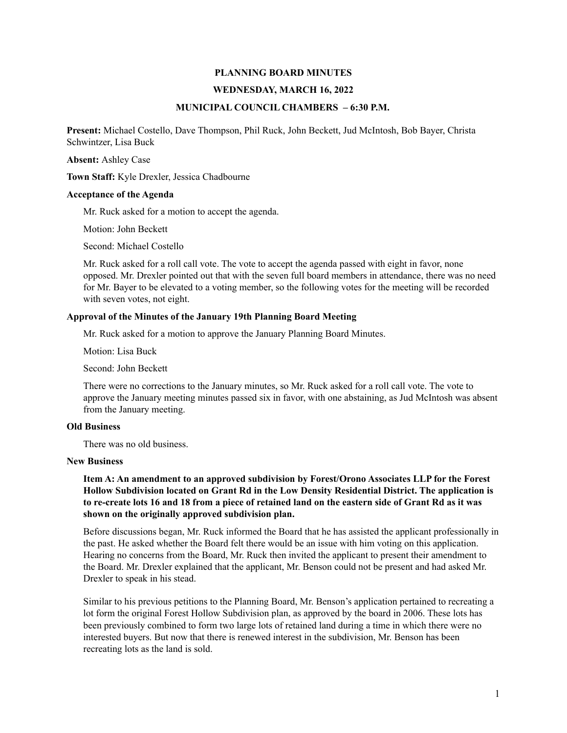# **PLANNING BOARD MINUTES**

### **WEDNESDAY, MARCH 16, 2022**

## **MUNICIPAL COUNCIL CHAMBERS – 6:30 P.M.**

**Present:** Michael Costello, Dave Thompson, Phil Ruck, John Beckett, Jud McIntosh, Bob Bayer, Christa Schwintzer, Lisa Buck

**Absent:** Ashley Case

**Town Staff:** Kyle Drexler, Jessica Chadbourne

### **Acceptance of the Agenda**

Mr. Ruck asked for a motion to accept the agenda.

Motion: John Beckett

Second: Michael Costello

Mr. Ruck asked for a roll call vote. The vote to accept the agenda passed with eight in favor, none opposed. Mr. Drexler pointed out that with the seven full board members in attendance, there was no need for Mr. Bayer to be elevated to a voting member, so the following votes for the meeting will be recorded with seven votes, not eight.

# **Approval of the Minutes of the January 19th Planning Board Meeting**

Mr. Ruck asked for a motion to approve the January Planning Board Minutes.

Motion: Lisa Buck

Second: John Beckett

There were no corrections to the January minutes, so Mr. Ruck asked for a roll call vote. The vote to approve the January meeting minutes passed six in favor, with one abstaining, as Jud McIntosh was absent from the January meeting.

## **Old Business**

There was no old business.

### **New Business**

# **Item A: An amendment to an approved subdivision by Forest/Orono Associates LLP for the Forest Hollow Subdivision located on Grant Rd in the Low Density Residential District. The application is to re-create lots 16 and 18 from a piece of retained land on the eastern side of Grant Rd as it was shown on the originally approved subdivision plan.**

Before discussions began, Mr. Ruck informed the Board that he has assisted the applicant professionally in the past. He asked whether the Board felt there would be an issue with him voting on this application. Hearing no concerns from the Board, Mr. Ruck then invited the applicant to present their amendment to the Board. Mr. Drexler explained that the applicant, Mr. Benson could not be present and had asked Mr. Drexler to speak in his stead.

Similar to his previous petitions to the Planning Board, Mr. Benson's application pertained to recreating a lot form the original Forest Hollow Subdivision plan, as approved by the board in 2006. These lots has been previously combined to form two large lots of retained land during a time in which there were no interested buyers. But now that there is renewed interest in the subdivision, Mr. Benson has been recreating lots as the land is sold.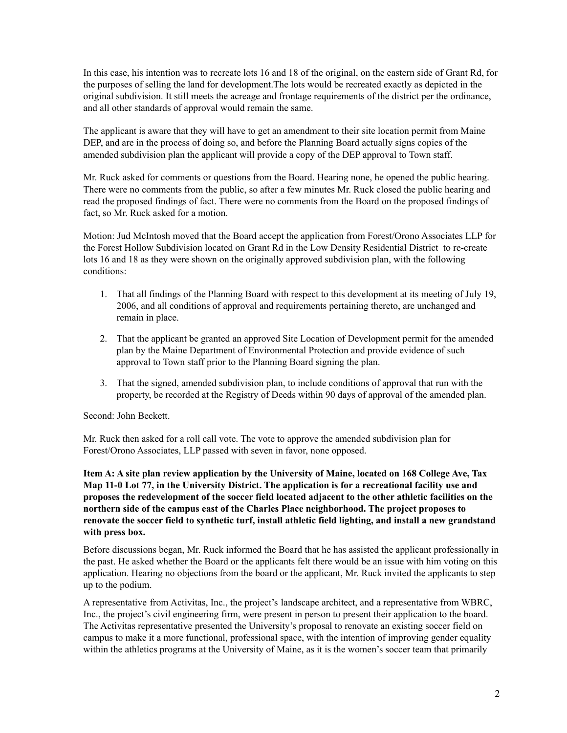In this case, his intention was to recreate lots 16 and 18 of the original, on the eastern side of Grant Rd, for the purposes of selling the land for development.The lots would be recreated exactly as depicted in the original subdivision. It still meets the acreage and frontage requirements of the district per the ordinance, and all other standards of approval would remain the same.

The applicant is aware that they will have to get an amendment to their site location permit from Maine DEP, and are in the process of doing so, and before the Planning Board actually signs copies of the amended subdivision plan the applicant will provide a copy of the DEP approval to Town staff.

Mr. Ruck asked for comments or questions from the Board. Hearing none, he opened the public hearing. There were no comments from the public, so after a few minutes Mr. Ruck closed the public hearing and read the proposed findings of fact. There were no comments from the Board on the proposed findings of fact, so Mr. Ruck asked for a motion.

Motion: Jud McIntosh moved that the Board accept the application from Forest/Orono Associates LLP for the Forest Hollow Subdivision located on Grant Rd in the Low Density Residential District to re-create lots 16 and 18 as they were shown on the originally approved subdivision plan, with the following conditions:

- 1. That all findings of the Planning Board with respect to this development at its meeting of July 19, 2006, and all conditions of approval and requirements pertaining thereto, are unchanged and remain in place.
- 2. That the applicant be granted an approved Site Location of Development permit for the amended plan by the Maine Department of Environmental Protection and provide evidence of such approval to Town staff prior to the Planning Board signing the plan.
- 3. That the signed, amended subdivision plan, to include conditions of approval that run with the property, be recorded at the Registry of Deeds within 90 days of approval of the amended plan.

Second: John Beckett.

Mr. Ruck then asked for a roll call vote. The vote to approve the amended subdivision plan for Forest/Orono Associates, LLP passed with seven in favor, none opposed.

**Item A: A site plan review application by the University of Maine, located on 168 College Ave, Tax Map 11-0 Lot 77, in the University District. The application is for a recreational facility use and proposes the redevelopment of the soccer field located adjacent to the other athletic facilities on the northern side of the campus east of the Charles Place neighborhood. The project proposes to renovate the soccer field to synthetic turf, install athletic field lighting, and install a new grandstand with press box.**

Before discussions began, Mr. Ruck informed the Board that he has assisted the applicant professionally in the past. He asked whether the Board or the applicants felt there would be an issue with him voting on this application. Hearing no objections from the board or the applicant, Mr. Ruck invited the applicants to step up to the podium.

A representative from Activitas, Inc., the project's landscape architect, and a representative from WBRC, Inc., the project's civil engineering firm, were present in person to present their application to the board. The Activitas representative presented the University's proposal to renovate an existing soccer field on campus to make it a more functional, professional space, with the intention of improving gender equality within the athletics programs at the University of Maine, as it is the women's soccer team that primarily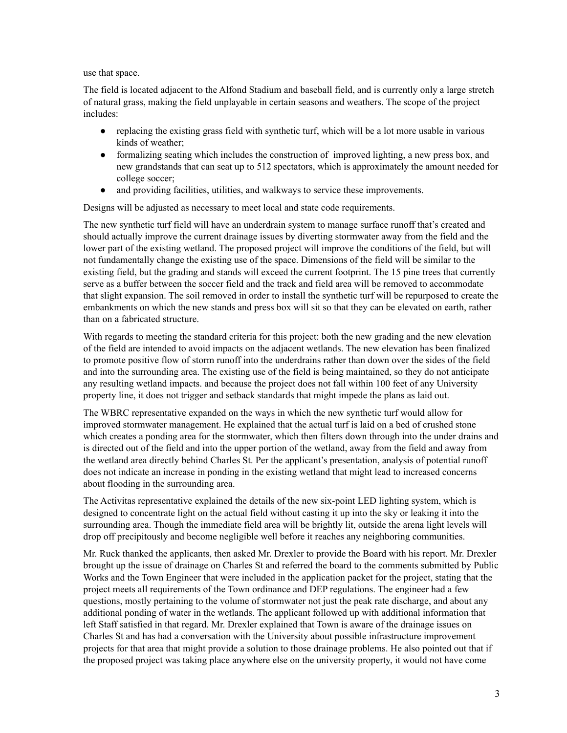use that space.

The field is located adjacent to the Alfond Stadium and baseball field, and is currently only a large stretch of natural grass, making the field unplayable in certain seasons and weathers. The scope of the project includes:

- replacing the existing grass field with synthetic turf, which will be a lot more usable in various kinds of weather;
- formalizing seating which includes the construction of improved lighting, a new press box, and new grandstands that can seat up to 512 spectators, which is approximately the amount needed for college soccer;
- and providing facilities, utilities, and walkways to service these improvements.

Designs will be adjusted as necessary to meet local and state code requirements.

The new synthetic turf field will have an underdrain system to manage surface runoff that's created and should actually improve the current drainage issues by diverting stormwater away from the field and the lower part of the existing wetland. The proposed project will improve the conditions of the field, but will not fundamentally change the existing use of the space. Dimensions of the field will be similar to the existing field, but the grading and stands will exceed the current footprint. The 15 pine trees that currently serve as a buffer between the soccer field and the track and field area will be removed to accommodate that slight expansion. The soil removed in order to install the synthetic turf will be repurposed to create the embankments on which the new stands and press box will sit so that they can be elevated on earth, rather than on a fabricated structure.

With regards to meeting the standard criteria for this project: both the new grading and the new elevation of the field are intended to avoid impacts on the adjacent wetlands. The new elevation has been finalized to promote positive flow of storm runoff into the underdrains rather than down over the sides of the field and into the surrounding area. The existing use of the field is being maintained, so they do not anticipate any resulting wetland impacts. and because the project does not fall within 100 feet of any University property line, it does not trigger and setback standards that might impede the plans as laid out.

The WBRC representative expanded on the ways in which the new synthetic turf would allow for improved stormwater management. He explained that the actual turf is laid on a bed of crushed stone which creates a ponding area for the stormwater, which then filters down through into the under drains and is directed out of the field and into the upper portion of the wetland, away from the field and away from the wetland area directly behind Charles St. Per the applicant's presentation, analysis of potential runoff does not indicate an increase in ponding in the existing wetland that might lead to increased concerns about flooding in the surrounding area.

The Activitas representative explained the details of the new six-point LED lighting system, which is designed to concentrate light on the actual field without casting it up into the sky or leaking it into the surrounding area. Though the immediate field area will be brightly lit, outside the arena light levels will drop off precipitously and become negligible well before it reaches any neighboring communities.

Mr. Ruck thanked the applicants, then asked Mr. Drexler to provide the Board with his report. Mr. Drexler brought up the issue of drainage on Charles St and referred the board to the comments submitted by Public Works and the Town Engineer that were included in the application packet for the project, stating that the project meets all requirements of the Town ordinance and DEP regulations. The engineer had a few questions, mostly pertaining to the volume of stormwater not just the peak rate discharge, and about any additional ponding of water in the wetlands. The applicant followed up with additional information that left Staff satisfied in that regard. Mr. Drexler explained that Town is aware of the drainage issues on Charles St and has had a conversation with the University about possible infrastructure improvement projects for that area that might provide a solution to those drainage problems. He also pointed out that if the proposed project was taking place anywhere else on the university property, it would not have come